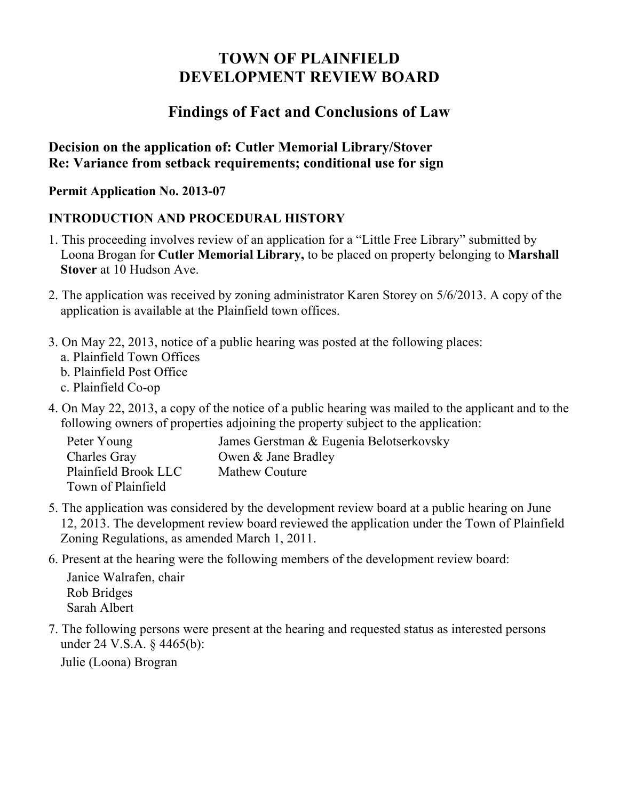# **TOWN OF PLAINFIELD DEVELOPMENT REVIEW BOARD**

## **Findings of Fact and Conclusions of Law**

### **Decision on the application of: Cutler Memorial Library/Stover Re: Variance from setback requirements; conditional use for sign**

**Permit Application No. 2013-07** 

### **INTRODUCTION AND PROCEDURAL HISTORY**

- 1. This proceeding involves review of an application for a "Little Free Library" submitted by Loona Brogan for **Cutler Memorial Library,** to be placed on property belonging to **Marshall Stover** at 10 Hudson Ave.
- 2. The application was received by zoning administrator Karen Storey on 5/6/2013. A copy of the application is available at the Plainfield town offices.
- 3. On May 22, 2013, notice of a public hearing was posted at the following places:
	- a. Plainfield Town Offices
	- b. Plainfield Post Office
	- c. Plainfield Co-op
- 4. On May 22, 2013, a copy of the notice of a public hearing was mailed to the applicant and to the following owners of properties adjoining the property subject to the application:

| Peter Young          | James Gerstman & Eugenia Belotserkovsky |
|----------------------|-----------------------------------------|
| Charles Gray         | Owen & Jane Bradley                     |
| Plainfield Brook LLC | Mathew Couture                          |
| Town of Plainfield   |                                         |

- 5. The application was considered by the development review board at a public hearing on June 12, 2013. The development review board reviewed the application under the Town of Plainfield Zoning Regulations, as amended March 1, 2011.
- 6. Present at the hearing were the following members of the development review board:

Janice Walrafen, chair Rob Bridges Sarah Albert

7. The following persons were present at the hearing and requested status as interested persons under 24 V.S.A. § 4465(b):

Julie (Loona) Brogran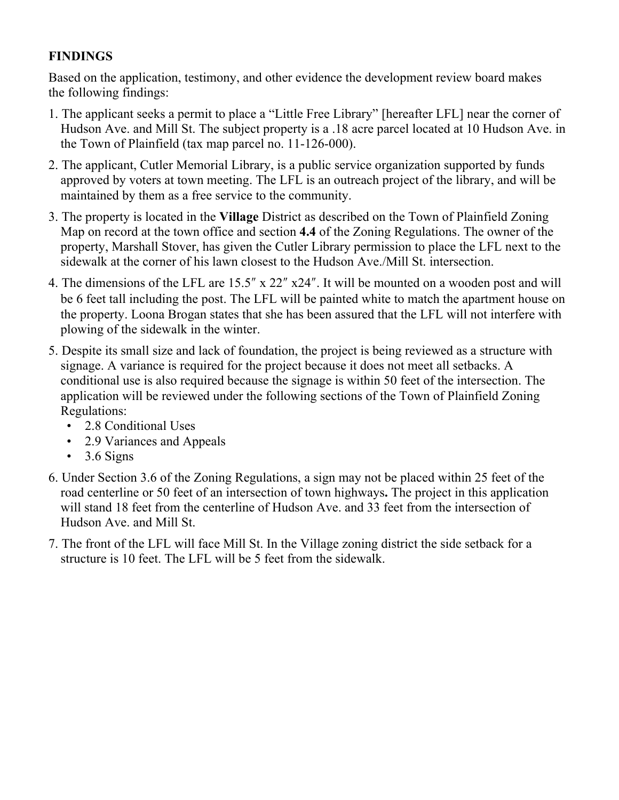#### **FINDINGS**

Based on the application, testimony, and other evidence the development review board makes the following findings:

- 1. The applicant seeks a permit to place a "Little Free Library" [hereafter LFL] near the corner of Hudson Ave. and Mill St. The subject property is a .18 acre parcel located at 10 Hudson Ave. in the Town of Plainfield (tax map parcel no. 11-126-000).
- 2. The applicant, Cutler Memorial Library, is a public service organization supported by funds approved by voters at town meeting. The LFL is an outreach project of the library, and will be maintained by them as a free service to the community.
- 3. The property is located in the **Village** District as described on the Town of Plainfield Zoning Map on record at the town office and section **4.4** of the Zoning Regulations. The owner of the property, Marshall Stover, has given the Cutler Library permission to place the LFL next to the sidewalk at the corner of his lawn closest to the Hudson Ave./Mill St. intersection.
- 4. The dimensions of the LFL are  $15.5''$  x  $22''$  x24". It will be mounted on a wooden post and will be 6 feet tall including the post. The LFL will be painted white to match the apartment house on the property. Loona Brogan states that she has been assured that the LFL will not interfere with plowing of the sidewalk in the winter.
- 5. Despite its small size and lack of foundation, the project is being reviewed as a structure with signage. A variance is required for the project because it does not meet all setbacks. A conditional use is also required because the signage is within 50 feet of the intersection. The application will be reviewed under the following sections of the Town of Plainfield Zoning Regulations:
	- 2.8 Conditional Uses
	- 2.9 Variances and Appeals
	- $\cdot$  3.6 Signs
- 6. Under Section 3.6 of the Zoning Regulations, a sign may not be placed within 25 feet of the road centerline or 50 feet of an intersection of town highways**.** The project in this application will stand 18 feet from the centerline of Hudson Ave. and 33 feet from the intersection of Hudson Ave. and Mill St.
- 7. The front of the LFL will face Mill St. In the Village zoning district the side setback for a structure is 10 feet. The LFL will be 5 feet from the sidewalk.